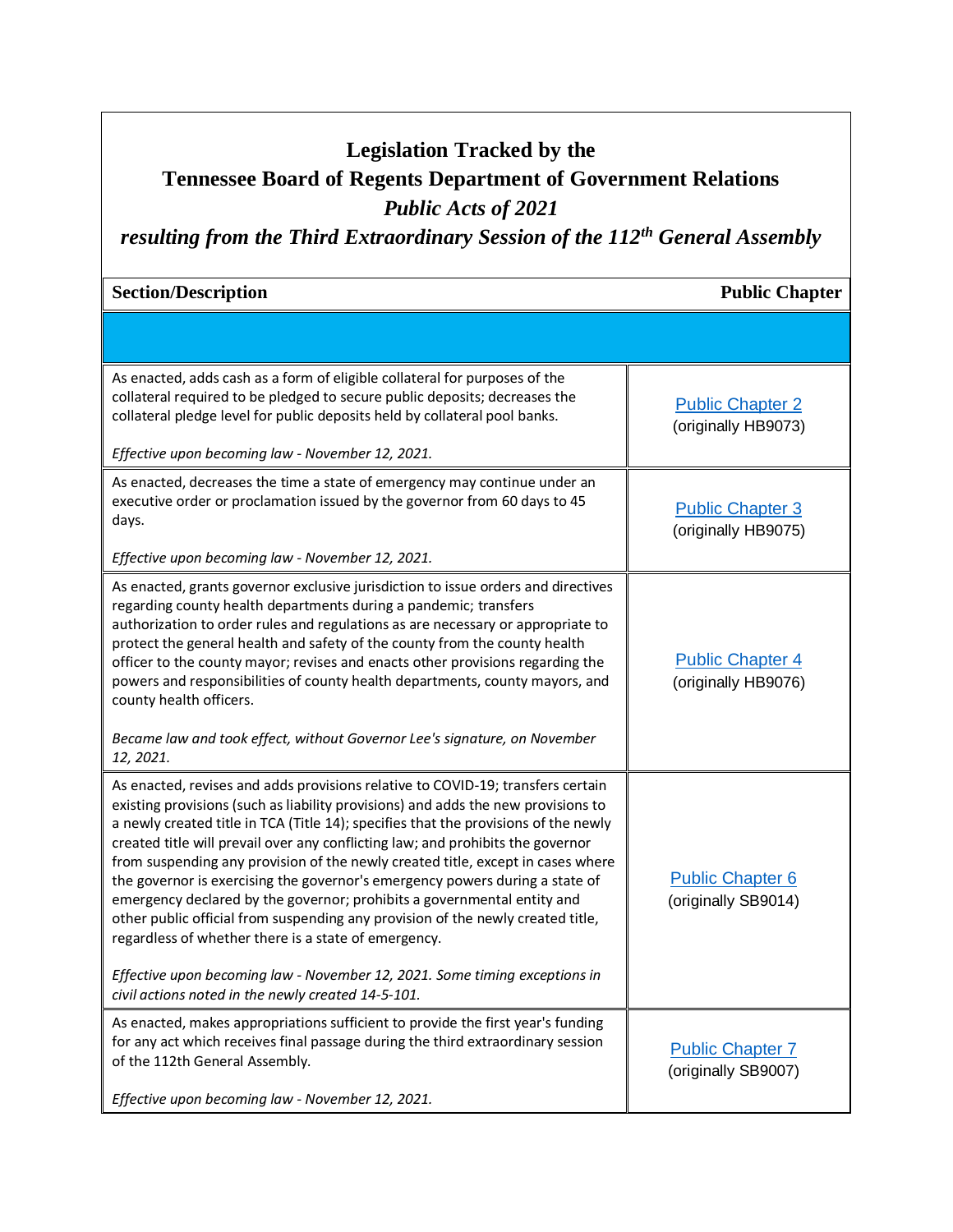# **Legislation Tracked by the**

# **Tennessee Board of Regents Department of Government Relations**

### *Public Acts of 2021*

# *resulting from the Third Extraordinary Session of the 112th General Assembly*

#### **Section/Description Public Chapter Public Chapter**

| As enacted, adds cash as a form of eligible collateral for purposes of the<br>collateral required to be pledged to secure public deposits; decreases the<br>collateral pledge level for public deposits held by collateral pool banks.<br>Effective upon becoming law - November 12, 2021.                                                                                                                                                                                                                                                                                                                                                                                                                                                                                                                                                                                  | <b>Public Chapter 2</b><br>(originally HB9073) |
|-----------------------------------------------------------------------------------------------------------------------------------------------------------------------------------------------------------------------------------------------------------------------------------------------------------------------------------------------------------------------------------------------------------------------------------------------------------------------------------------------------------------------------------------------------------------------------------------------------------------------------------------------------------------------------------------------------------------------------------------------------------------------------------------------------------------------------------------------------------------------------|------------------------------------------------|
| As enacted, decreases the time a state of emergency may continue under an<br>executive order or proclamation issued by the governor from 60 days to 45<br>days.<br>Effective upon becoming law - November 12, 2021.                                                                                                                                                                                                                                                                                                                                                                                                                                                                                                                                                                                                                                                         | <b>Public Chapter 3</b><br>(originally HB9075) |
| As enacted, grants governor exclusive jurisdiction to issue orders and directives<br>regarding county health departments during a pandemic; transfers<br>authorization to order rules and regulations as are necessary or appropriate to<br>protect the general health and safety of the county from the county health<br>officer to the county mayor; revises and enacts other provisions regarding the<br>powers and responsibilities of county health departments, county mayors, and<br>county health officers.<br>Became law and took effect, without Governor Lee's signature, on November<br>12, 2021.                                                                                                                                                                                                                                                               | <b>Public Chapter 4</b><br>(originally HB9076) |
| As enacted, revises and adds provisions relative to COVID-19; transfers certain<br>existing provisions (such as liability provisions) and adds the new provisions to<br>a newly created title in TCA (Title 14); specifies that the provisions of the newly<br>created title will prevail over any conflicting law; and prohibits the governor<br>from suspending any provision of the newly created title, except in cases where<br>the governor is exercising the governor's emergency powers during a state of<br>emergency declared by the governor; prohibits a governmental entity and<br>other public official from suspending any provision of the newly created title,<br>regardless of whether there is a state of emergency.<br>Effective upon becoming law - November 12, 2021. Some timing exceptions in<br>civil actions noted in the newly created 14-5-101. | <b>Public Chapter 6</b><br>(originally SB9014) |
| As enacted, makes appropriations sufficient to provide the first year's funding<br>for any act which receives final passage during the third extraordinary session<br>of the 112th General Assembly.<br>Effective upon becoming law - November 12, 2021.                                                                                                                                                                                                                                                                                                                                                                                                                                                                                                                                                                                                                    | <b>Public Chapter 7</b><br>(originally SB9007) |